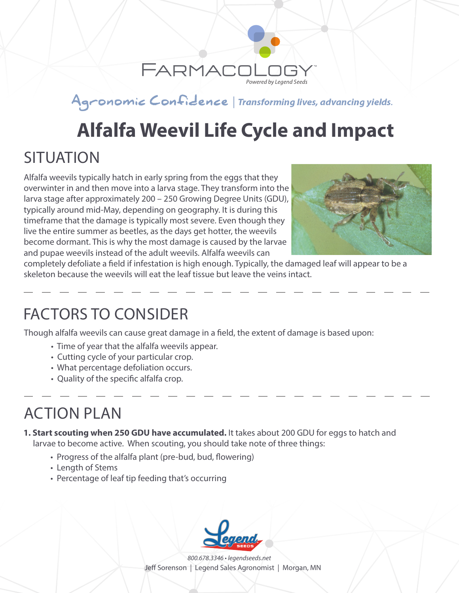

#### Agronomic Confidence | Transforming lives, advancing yields.

# **Alfalfa Weevil Life Cycle and Impact**

### **SITUATION**

Alfalfa weevils typically hatch in early spring from the eggs that they overwinter in and then move into a larva stage. They transform into the larva stage after approximately 200 – 250 Growing Degree Units (GDU), typically around mid-May, depending on geography. It is during this timeframe that the damage is typically most severe. Even though they live the entire summer as beetles, as the days get hotter, the weevils become dormant. This is why the most damage is caused by the larvae and pupae weevils instead of the adult weevils. Alfalfa weevils can



completely defoliate a field if infestation is high enough. Typically, the damaged leaf will appear to be a skeleton because the weevils will eat the leaf tissue but leave the veins intact.

#### FACTORS TO CONSIDER

Though alfalfa weevils can cause great damage in a field, the extent of damage is based upon:

- Time of year that the alfalfa weevils appear.
- Cutting cycle of your particular crop.
- What percentage defoliation occurs.
- Quality of the specific alfalfa crop.

## ACTION PLAN

- **1. Start scouting when 250 GDU have accumulated.** It takes about 200 GDU for eggs to hatch and larvae to become active. When scouting, you should take note of three things:
	- Progress of the alfalfa plant (pre-bud, bud, flowering)
	- Length of Stems
	- Percentage of leaf tip feeding that's occurring



*800.678.3346 • legendseeds.net* Jeff Sorenson | Legend Sales Agronomist | Morgan, MN